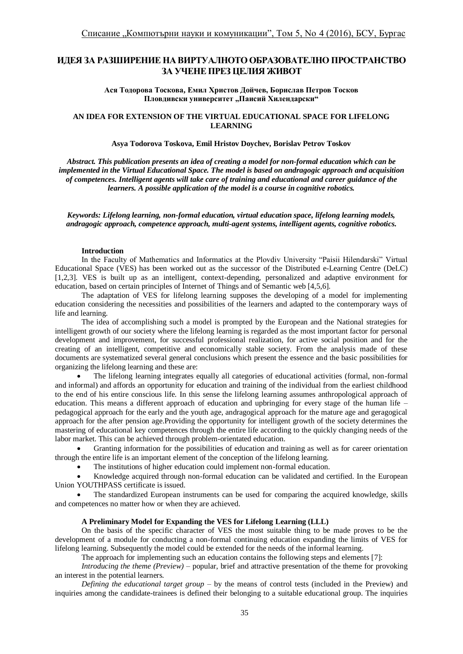# **ИДЕЯ ЗА РАЗШИРЕНИЕ НА ВИРТУАЛНОТО ОБРАЗОВАТЕЛНО ПРОСТРАНСТВО ЗА УЧЕНЕ ПРЕЗ ЦЕЛИЯ ЖИВОТ**

**Ася Тодорова Тоскова, Емил Христов Дойчев, Борислав Петров Тосков** Пловдивски университет "Паисий Хилендарски"

## **AN IDEA FOR EXTENSION OF THE VIRTUAL EDUCATIONAL SPACE FOR LIFELONG LEARNING**

#### **Asya Todorova Toskova, Emil Hristov Doychev, Borislav Petrov Toskov**

*Abstract. This publication presents an idea of creating a model for non-formal education which can be implemented in the Virtual Educational Space. The model is based on andragogic approach and acquisition of competences[. Intelligent](https://en.wikipedia.org/wiki/Intelligent_agent) agents will take care of training and educational and career guidance of the learners. A possible application of the model is a course in cognitive robotics.* 

*Keywords: Lifelong learning, non-formal education, virtual education space, lifelong learning models, andragogic approach, competence approach, multi-agent systems[, intelligent](https://en.wikipedia.org/wiki/Intelligent_agent) agents, cognitive robotics.*

#### **Introduction**

In the Faculty of Mathematics and Informatics at the Plovdiv University "Paisii Hilendarski" Virtual Educational Space (VES) has been worked out as the successor of the Distributed e-Learning Centre (DeLC) [1,2,3]. VES is built up as an intelligent, context-depending, personalized and adaptive environment for education, based on certain principles of Internet of Things and of Semantic web [4,5,6].

The adaptation of VES for lifelong learning supposes the developing of a model for implementing education considering the necessities and possibilities of the learners and adapted to the contemporary ways of life and learning.

The idea of accomplishing such a model is prompted by the European and the National strategies for intelligent growth of our society where the lifelong learning is regarded as the most important factor for personal development and improvement, for successful professional realization, for active social position and for the creating of an intelligent, competitive and economically stable society. From the analysis made of these documents are systematized several general conclusions which present the essence and the basic possibilities for organizing the lifelong learning and these are:

 The lifelong learning integrates equally all categories of educational activities (formal, non-formal and informal) and affords an opportunity for education and training of the individual from the earliest childhood to the end of his entire conscious life. In this sense the lifelong learning assumes anthropological approach of education. This means a different approach of education and upbringing for every stage of the human life – pedagogical approach for the early and the youth age, andragogical approach for the mature age and geragogical approach for the after pension age.Providing the opportunity for intelligent growth of the society determines the mastering of educational key competences through the entire life according to the quickly changing needs of the labor market. This can be achieved through problem-orientated education.

 Granting information for the possibilities of education and training as well as for career orientation through the entire life is an important element of the conception of the lifelong learning.

The institutions of higher education could implement non-formal education.

 Knowledge acquired through non-formal education can be validated and certified. In the European Union YOUTHPASS certificate is issued.

 The standardized European instruments can be used for comparing the acquired knowledge, skills and competences no matter how or when they are achieved.

#### **A Preliminary Model for Expanding the VES for Lifelong Learning (LLL)**

On the basis of the specific character of VES the most suitable thing to be made proves to be the development of a module for conducting a non-formal continuing education expanding the limits of VES for lifelong learning. Subsequently the model could be extended for the needs of the informal learning.

The approach for implementing such an education contains the following steps and elements [7]:

*Introducing the theme (Preview)* – popular, brief and attractive presentation of the theme for provoking an interest in the potential learners.

*Defining the educational target group* – by the means of control tests (included in the Preview) and inquiries among the candidate-trainees is defined their belonging to a suitable educational group. The inquiries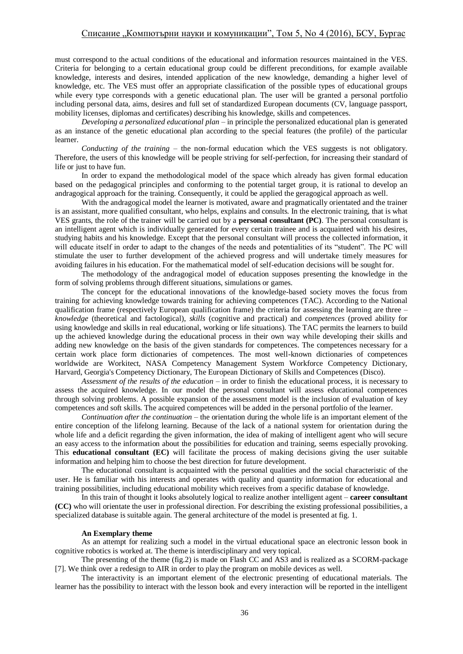must correspond to the actual conditions of the educational and information resources maintained in the VES. Criteria for belonging to a certain educational group could be different preconditions, for example available knowledge, interests and desires, intended application of the new knowledge, demanding a higher level of knowledge, etc. The VES must offer an appropriate classification of the possible types of educational groups while every type corresponds with a genetic educational plan. The user will be granted a personal portfolio including personal data, aims, desires and full set of standardized European documents (CV, language passport, mobility licenses, diplomas and certificates) describing his knowledge, skills and competences.

*Developing a personalized educational plan* – in principle the personalized educational plan is generated as an instance of the genetic educational plan according to the special features (the profile) of the particular learner.

*Conducting of the training* – the non-formal education which the VES suggests is not obligatory. Therefore, the users of this knowledge will be people striving for self-perfection, for increasing their standard of life or just to have fun.

In order to expand the methodological model of the space which already has given formal education based on the pedagogical principles and conforming to the potential target group, it is rational to develop an andragogical approach for the training. Consequently, it could be applied the geragogical approach as well.

With the andragogical model the learner is motivated, aware and pragmatically orientated and the trainer is an assistant, more qualified consultant, who helps, explains and consults. In the electronic training, that is what VES grants, the role of the trainer will be carried out by a **personal consultant (PC)**. The personal consultant is an intelligent agent which is individually generated for every certain trainee and is acquainted with his desires, studying habits and his knowledge. Except that the personal consultant will process the collected information, it will educate itself in order to adapt to the changes of the needs and potentialities of its "student". The PC will stimulate the user to further development of the achieved progress and will undertake timely measures for avoiding failures in his education. For the mathematical model of self-education decisions will be sought for.

The methodology of the andragogical model of education supposes presenting the knowledge in the form of solving problems through different situations, simulations or games.

The concept for the educational innovations of the knowledge-based society moves the focus from training for achieving knowledge towards training for achieving competences (TAC). According to the National qualification frame (respectively European qualification frame) the criteria for assessing the learning are three  $$ *knowledge* (theoretical and factological), *skills* (cognitive and practical) and *competences* (proved ability for using knowledge and skills in real educational, working or life situations). The TAC permits the learners to build up the achieved knowledge during the educational process in their own way while developing their skills and adding new knowledge on the basis of the given standards for competences. The competences necessary for a certain work place form dictionaries of competences. The most well-known dictionaries of competences worldwide are Workitect, NASA Competency Management System Workforce Competency Dictionary, Harvard, Georgia's Competency Dictionary, The European Dictionary of Skills and Competences (Disco).

*Assessment of the results of the education* – in order to finish the educational process, it is necessary to assess the acquired knowledge. In our model the personal consultant will assess educational competences through solving problems. A possible expansion of the assessment model is the inclusion of evaluation of key competences and soft skills. The acquired competences will be added in the personal portfolio of the learner.

*Continuation after the continuation* – the orientation during the whole life is an important element of the entire conception of the lifelong learning. Because of the lack of a national system for orientation during the whole life and a deficit regarding the given information, the idea of making of intelligent agent who will secure an easy access to the information about the possibilities for education and training, seems especially provoking. This **educational consultant (EC)** will facilitate the process of making decisions giving the user suitable information and helping him to choose the best direction for future development.

The educational consultant is acquainted with the personal qualities and the social characteristic of the user. He is familiar with his interests and operates with quality and quantity information for educational and training possibilities, including educational mobility which receives from a specific database of knowledge.

In this train of thought it looks absolutely logical to realize another intelligent agent – **career consultant (CC)** who will orientate the user in professional direction. For describing the existing professional possibilities, a specialized database is suitable again. The general architecture of the model is presented at fig. 1.

#### **An Exemplary theme**

As an attempt for realizing such a model in the virtual educational space an electronic lesson book in cognitive robotics is worked at. The theme is interdisciplinary and very topical.

The presenting of the theme (fig.2) is made on Flash CC and AS3 and is realized as a SCORM-package [7]. We think over a redesign to AIR in order to play the program on mobile devices as well.

The interactivity is an important element of the electronic presenting of educational materials. The learner has the possibility to interact with the lesson book and every interaction will be reported in the intelligent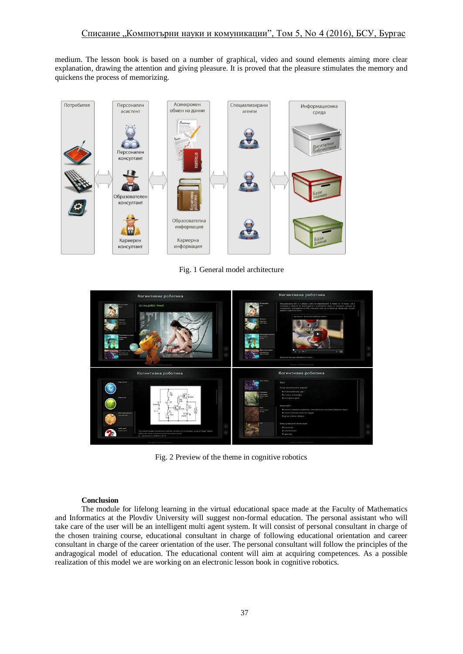medium. The lesson book is based on a number of graphical, video and sound elements aiming more clear explanation, drawing the attention and giving pleasure. It is proved that the pleasure stimulates the memory and quickens the process of memorizing.



Fig. 1 General model architecture



Fig. 2 Preview of the theme in cognitive robotics

#### **Conclusion**

The module for lifelong learning in the virtual educational space made at the Faculty of Mathematics and Informatics at the Plovdiv University will suggest non-formal education. The personal assistant who will take care of the user will be an intelligent multi agent system. It will consist of personal consultant in charge of the chosen training course, educational consultant in charge of following educational orientation and career consultant in charge of the career orientation of the user. The personal consultant will follow the principles of the andragogical model of education. The educational content will aim at acquiring competences. As a possible realization of this model we are working on an electronic lesson book in cognitive robotics.